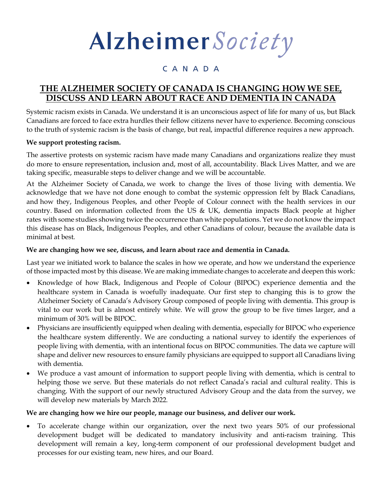# Alzheimer Society

## CANADA

## **THE ALZHEIMER SOCIETY OF CANADA IS CHANGING HOW WE SEE, DISCUSS AND LEARN ABOUT RACE AND DEMENTIA IN CANADA**

Systemic racism exists in Canada. We understand it is an unconscious aspect of life for many of us, but Black Canadians are forced to face extra hurdles their fellow citizens never have to experience. Becoming conscious to the truth of systemic racism is the basis of change, but real, impactful difference requires a new approach.

### **We support protesting racism.**

The assertive protests on systemic racism have made many Canadians and organizations realize they must do more to ensure representation, inclusion and, most of all, accountability. Black Lives Matter, and we are taking specific, measurable steps to deliver change and we will be accountable.

At the Alzheimer Society of Canada, we work to change the lives of those living with dementia. We acknowledge that we have not done enough to combat the systemic oppression felt by Black Canadians, and how they, Indigenous Peoples, and other People of Colour connect with the health services in our country. Based on information collected from the US & UK, dementia impacts Black people at higher rates with some studies showing twice the occurrence than white populations. Yet we do not know the impact this disease has on Black, Indigenous Peoples, and other Canadians of colour, because the available data is minimal at best.

#### **We are changing how we see, discuss, and learn about race and dementia in Canada.**

Last year we initiated work to balance the scales in how we operate, and how we understand the experience of those impacted most by this disease. We are making immediate changes to accelerate and deepen this work:

- Knowledge of how Black, Indigenous and People of Colour (BIPOC) experience dementia and the healthcare system in Canada is woefully inadequate. Our first step to changing this is to grow the Alzheimer Society of Canada's Advisory Group composed of people living with dementia. This group is vital to our work but is almost entirely white. We will grow the group to be five times larger, and a minimum of 30% will be BIPOC.
- Physicians are insufficiently equipped when dealing with dementia, especially for BIPOC who experience the healthcare system differently. We are conducting a national survey to identify the experiences of people living with dementia, with an intentional focus on BIPOC communities. The data we capture will shape and deliver new resources to ensure family physicians are equipped to support all Canadians living with dementia.
- We produce a vast amount of information to support people living with dementia, which is central to helping those we serve. But these materials do not reflect Canada's racial and cultural reality. This is changing. With the support of our newly structured Advisory Group and the data from the survey, we will develop new materials by March 2022.

#### **We are changing how we hire our people, manage our business, and deliver our work.**

• To accelerate change within our organization, over the next two years 50% of our professional development budget will be dedicated to mandatory inclusivity and anti-racism training. This development will remain a key, long-term component of our professional development budget and processes for our existing team, new hires, and our Board.